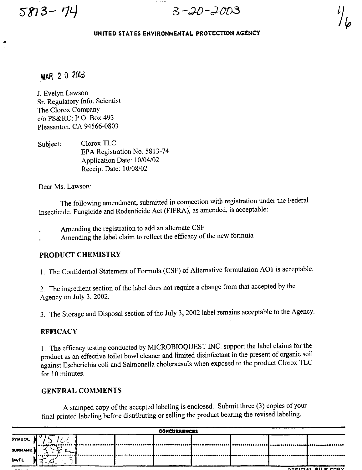**58'J3-** *14* 

•

 $3 - 20 - 2003$ 

### **UNITED STATES ENVIRONMENTAL PROTECTION AGENCY**

# **MAR** 20 2003

J. Evelyn Lawson Sr. Regulatory Info. Scientist The Clorox Company *clo* PS&RC; P.O. Box 493 Pleasanton, CA 94566-0803

Subject: Clorox TLC EPA Registration No. 5813-74 Application Date: 10/04/02 Receipt Date: 10/08/02

Dear Ms. Lawson:

The following amendment, submitted in connection with registration under the Federal Insecticide, Fungicide and Rodenticide Act (FIFRA), as amended, is acceptable:

- Amending the registration to add an alternate CSF
- Amending the label claim to reflect the efficacy of the new formula

### PRODUCT CHEMISTRY

I. The Confidential Statement of Formula (CSF) of Alternative formulation AOI is acceptable.

2. The ingredient section of the label does not require a change from that accepted by the Agency on July 3, 2002.

3. The Storage and Disposal section of the July 3, 2002 label remains acceptable to the Agency.

### **EFFICACY**

I. The efficacy testing conducted by MICROBIOQUEST INC. support the label claims for the product as an effective toilet bowl cleaner and limited disinfectant in the present of organic soil against Escherichia coli and Salmonella choleraesuis when exposed to the product Clorox TLC for 10 minutes.

### GENERAL COMMENTS

A stamped copy of the accepted labeling is enclosed. Submit three (3) copies of your final printed labeling before distributing or selling the product bearing the revised labeling.

| <b>CONCURRENCES</b>                  |                                                                    |  |  |  |  |  |  |   |
|--------------------------------------|--------------------------------------------------------------------|--|--|--|--|--|--|---|
| SYMBOL                               |                                                                    |  |  |  |  |  |  |   |
| SURNAME                              | <b>Les a pays of the 1</b>                                         |  |  |  |  |  |  |   |
| DATE                                 | $1 - 1 - 1 - 1 - 1 - 1$<br>-<br>~<br>∼<br>$\overline{\phantom{0}}$ |  |  |  |  |  |  | . |
| OFFICIAL FILE COPY<br>-----<br>----- |                                                                    |  |  |  |  |  |  |   |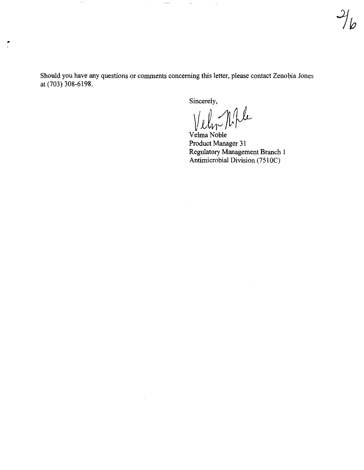Should you have any questions or comments concerning this letter, please contact Zenobia Jones at (703) 308-6198.

 $\dots \dots \dots \dots \dots \dots \dots$ 

 $\bullet$ 

 $\sim$ 

Sincerely,

 $\bar{z}$ 

 $\alpha$ 

 $\cdot$ 

Velon Nople

Velma Noble Product Manager 31 Regulatory Management Branch I Antimicrobial Division (7510C)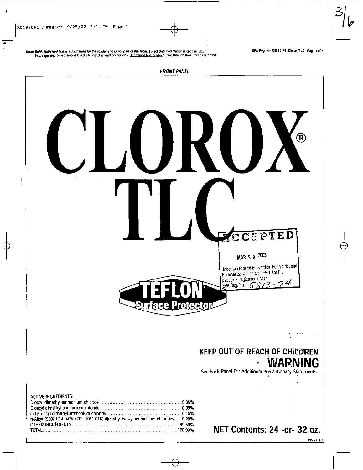$\mathbf{r}$ 

Note: Bold, italicized text is information for the reader and is not part of the label. [Bracketed information is optional text.] Text separated by a diamond builet (+) denotes and/or-options. <u>Underlined text is new</u> Strike-through (text) means removed EPA Reg. No. 05813-74 Clorox TLC Page 1 of 4

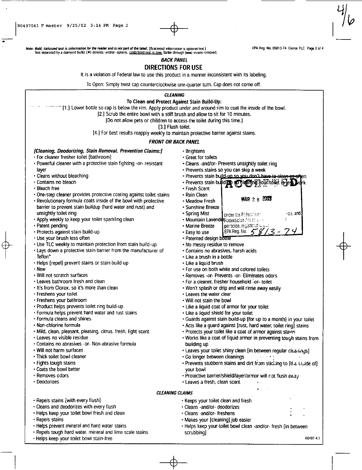7

 $+$ 

Note: Bold, ilalicized Ie.., is information lOt *thB* ruder lind is *noI* fMr1 of lludllbel. [Bracketed informallOfl i~ optional lexLi EPA Reg. No. 05813-74 Clorox TlC Page 2 of 4 fexl separated by a diamond bullet (.) denotes ·and/or- optIOns. ! IOd!;rlmcd tex! is new Strike-IhfOl.l9h (~) means fMloved.

### BACK PANEL

## DIRECTIONS FOR USE

It is a violation of Federal law to use this product in a manner inconsistent with its labeling.

To Open: Simply twist cap counterclockwise one-quarter tum. Cap does not come off.

|  | <b>CLEANING</b><br>To Clean and Protect Against Stain Build-Up:<br>[17] Lower bottle so cap is below the rim. Apply product under and around rim to coat the inside of the bowl.<br>[2.] Scrub the entire bowl with a stiff brush and allow to sit for 10 minutes.<br>[Do not allow pets or children to access the toilet during this time.]<br>[3.] Flush toilet.<br>[4.] For best results reapply weekly to maintain protective barrier against stains.<br><b>FRONT OR BACK PANEL</b>                                                                                                                                                                                                                                                                                                                                                                                                                                                                                                                                                                                                                                                                                                                                                                                                                                                                                                                                                                                                                            |                                                                                                                                                                                                                                                                                                                                                                                                                                                                                                                                                                                                                                                                                                                                                                                                                                                                                                                                                                                                                                                                                                                                                                                                                                                                                                                                                                                                                                                                                                                                                                                                                                                                                                    |  |  |  |  |  |  |
|--|--------------------------------------------------------------------------------------------------------------------------------------------------------------------------------------------------------------------------------------------------------------------------------------------------------------------------------------------------------------------------------------------------------------------------------------------------------------------------------------------------------------------------------------------------------------------------------------------------------------------------------------------------------------------------------------------------------------------------------------------------------------------------------------------------------------------------------------------------------------------------------------------------------------------------------------------------------------------------------------------------------------------------------------------------------------------------------------------------------------------------------------------------------------------------------------------------------------------------------------------------------------------------------------------------------------------------------------------------------------------------------------------------------------------------------------------------------------------------------------------------------------------|----------------------------------------------------------------------------------------------------------------------------------------------------------------------------------------------------------------------------------------------------------------------------------------------------------------------------------------------------------------------------------------------------------------------------------------------------------------------------------------------------------------------------------------------------------------------------------------------------------------------------------------------------------------------------------------------------------------------------------------------------------------------------------------------------------------------------------------------------------------------------------------------------------------------------------------------------------------------------------------------------------------------------------------------------------------------------------------------------------------------------------------------------------------------------------------------------------------------------------------------------------------------------------------------------------------------------------------------------------------------------------------------------------------------------------------------------------------------------------------------------------------------------------------------------------------------------------------------------------------------------------------------------------------------------------------------------|--|--|--|--|--|--|
|  |                                                                                                                                                                                                                                                                                                                                                                                                                                                                                                                                                                                                                                                                                                                                                                                                                                                                                                                                                                                                                                                                                                                                                                                                                                                                                                                                                                                                                                                                                                                    |                                                                                                                                                                                                                                                                                                                                                                                                                                                                                                                                                                                                                                                                                                                                                                                                                                                                                                                                                                                                                                                                                                                                                                                                                                                                                                                                                                                                                                                                                                                                                                                                                                                                                                    |  |  |  |  |  |  |
|  |                                                                                                                                                                                                                                                                                                                                                                                                                                                                                                                                                                                                                                                                                                                                                                                                                                                                                                                                                                                                                                                                                                                                                                                                                                                                                                                                                                                                                                                                                                                    |                                                                                                                                                                                                                                                                                                                                                                                                                                                                                                                                                                                                                                                                                                                                                                                                                                                                                                                                                                                                                                                                                                                                                                                                                                                                                                                                                                                                                                                                                                                                                                                                                                                                                                    |  |  |  |  |  |  |
|  | [Cleaning, Deodorizing, Stain Removal, Prevention Claims:]<br>• For cleaner fresher toilet [bathroom]<br>. Powerful cleaner with a protective stain fighting -or- resistant<br>layer<br>- Cleans without bleaching<br>• Contains no bleach<br>• Bleach free<br>• One-step cleaner provides protective coating against toilet stains<br>. Revolutionary formula coats inside of the bowl with protective<br>barrier to prevent stain buildup (hard water and rust) and<br>unsightly toilet ring<br>• Apply weekly to keep your toilet sparkling clean<br>· Patent pending<br>· Protects against stain build-up<br>· Use your brush less often<br>. Use TLC weekly to maintain protection from stain build-up<br>- Lays down a protective stain barrier from the manufacturer of<br>Teflon <sup>*</sup><br>• Helps [repel] prevent stains or stain build-up<br>• New<br>• Will not scratch surfaces<br>• Leaves bathroom fresh and clean<br>• It's from Clorox, so it's more than clean<br>- Freshens your toilet<br>· Freshens your bathroom<br>· Product helps prevents toilet ring build-up<br>• Formula helps prevent hard water and rust stains<br>• Formula cleans and shines<br>• Non-chlorine formula<br>· Mild, clean, pleasant, pleasing, citrus, fresh, light scent<br>• Leaves no visible residue<br>• Contains no abrasives -or- Non-abrasive formula<br>• Will not harm surfaces<br>- Thick toilet bowl cleaner<br>• Fights tough stains<br>. Coats the bowl better<br>• Removes odors<br>· Deodorizes | • Brightens<br>• Great for toilets<br>- Cleans -and/or- Prevents unsightly toilet ring<br>• Prevents stains so you can skip a week<br>· Prevents stain build-un so you don't have to clean as often<br>· Prevents stain build and so the ming you it dilet is less<br>• Fresh Scent<br>• Rain Clean<br>MAR 2 0 2003<br>• Meadow Fresh<br>• Sunshine Breeze<br>∵de, and<br>• Spring Mist<br>Under the Foderal kinn<br>· Mountain LavenderRodenticide Act on alle<br>- 3<br>perticide, registered unus<br>• Marine Breeze<br>EPA Reg. No. $5\%$<br>$z -$<br>• Easy to use<br>- Patented design bottle<br>. No messy residue to remove<br>• Contains no abrasives, harsh acids<br>• Like a brush in a bottle<br>• Like a liquid brush<br>. For use on both white and colored toilets<br>• Removes -or- Prevents -or- Eliminates odors<br>. For a cleaner, fresher household -or- toilet<br>• Won't splash or drip and will rinse away easily<br>• Leaves the water clear<br>. Will not stain the bowl<br>- Like a liquid coat of armor for your toilet<br>• Like a liquid shield for your toilet<br>• Guards against stain build-up [for up to a month] in your toilet<br>. Acts like a guard against [rust, hard water, toilet ring] stains<br>· Protects your toilet like a coat of armor against stains<br>. Works like a coat of liquid armor in preventing tough stains from<br>building up<br>. Leaves your toilet shiny clean [in between regular cleanings]<br>. Go longer between cleanings and serving<br>. Prevents stubborn stains and dirt from sticking to [the inside of]<br>your bowl<br>· Protective barrier/shield/layer/armor will not flush away<br>· Leaves a fresh, clean scent |  |  |  |  |  |  |
|  | <b>CLEANING CLAIMS</b>                                                                                                                                                                                                                                                                                                                                                                                                                                                                                                                                                                                                                                                                                                                                                                                                                                                                                                                                                                                                                                                                                                                                                                                                                                                                                                                                                                                                                                                                                             |                                                                                                                                                                                                                                                                                                                                                                                                                                                                                                                                                                                                                                                                                                                                                                                                                                                                                                                                                                                                                                                                                                                                                                                                                                                                                                                                                                                                                                                                                                                                                                                                                                                                                                    |  |  |  |  |  |  |
|  | - Repels stains [with every flush]<br>· Cleans and deodorizes with every flush<br>· Helps keep your toilet bowl fresh and clean<br>• Repels stains<br>· Helps prevent mineral and hard water stains                                                                                                                                                                                                                                                                                                                                                                                                                                                                                                                                                                                                                                                                                                                                                                                                                                                                                                                                                                                                                                                                                                                                                                                                                                                                                                                | · Keeps your toilet clean and fresh<br>· Cleans -and/or- deodorizes<br>· Cleans -and/or- freshens<br>· Makes your [cleaning] job easier<br>· Helps keep your toilet bowl clean -and/or- fresh [in between                                                                                                                                                                                                                                                                                                                                                                                                                                                                                                                                                                                                                                                                                                                                                                                                                                                                                                                                                                                                                                                                                                                                                                                                                                                                                                                                                                                                                                                                                          |  |  |  |  |  |  |

- Repels tough hard water. mineral and lime scale stains
- Helps keep your toilet bowl stain-free

scrubbing)

R0497-4.1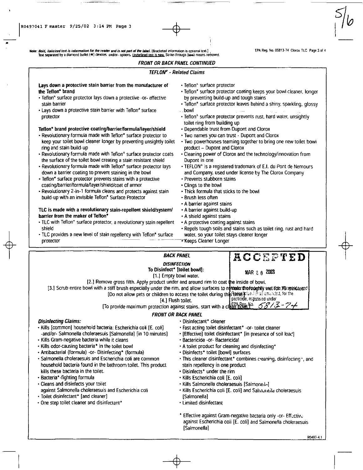•

Note: Bold, italicized text is information for the reader and is not part of the label. [Bracketed information is optional text.] **. [PA Reg. No. 05813-74 Clorox TLC Page 3 of 4** Text separated by a diamond bullet (...) denotes -and/or- options. Underlined lext is new Strike-through (tem) means removed.

#### $\begin{array}{c} \n\downarrow \\
\uparrow \\
\uparrow\n\end{array}$ FRONT OR BACK PANEL CONTINUED TEFLON' - Related Claims Lays down a protective stain barrier from the manufacturer of  $\qquad \cdot$  Teflon\* surface protector the Teflon· brand • Teflon'" surface protector lays down a protective -or- effective stain barrier • Teflon<sup>®</sup> surface protector coating keeps your bowl cleaner, longer by preventing build-up and tough stains • Lays down a protective stain barrier with Teflon'" surface protector • Teflon" surface protector leaves behind a shiny, sparkling, glossy bowl • Teflon' surface protector prevents rust. hard water, unsightly toilet ring from building up Teflon<sup>\*</sup> brand protective coating/barrier/formula/layer/shield • Dependable trust from Dupont and Clorox • Revolutionary formula made with Teflon" surface protector to • Two names you can trust - Dupont and Clorox keep your toilet bowl cleaner longer by preventing unsightly toilet ring and stain build-up • Two powerhouses teaming together to bring one new toilet bowl product - Dupont and Clorox • Revolutionary formula made with Teflon<sup>®</sup> surface protector coats the surface of the toilet bowl creating a stain resistant shield • Cleaning power of Clorox and the technology/innovation from Dupont in one • Revolutionary formula made with Teflon" surface protector lays down a barrier coating to prevent staining in the bowl • TEFLON' is a registered trademark of E.1. du Pont de Nemours • Teflon' surface protector prevents stains with a protective coating/barrier/formula/layer/shield/coat of armor • Revolutionary 2-in-l formula cleans and protects against stain build-up with an invisible Teflon<sup>®</sup> Surface Protector and Company, used under license by The Clorox Company • Prevents stubborn stains • Clings to the bowl • Thick formula that sticks to the bowl • Brush less often • A barrier against stains TLC is made with a revolutionary stain-repellent shield/system/ $\cdot$  A barrier against build-up barrier from the maker of Teflon<sup>+</sup> • A shield against stains • TLC with Teflon" surface protector, a revolutionary stain repellent • A protective coating against stains shield **• Repels tough Soils and stains such as toilet ring**, rust and hard • TLC provides a new level of stain repellency with Teflon' surface water, so your toilet stays cleaner longer protector ----- '-~-~·1(eeps Cleaner Longer BACK PANEL **DISINFECTION** To Disinfect' [toilet bowl]: [1.] Empty bowl water. ACCEPTED **MAR 2 0 2003** [2.] Remove gross filth. Apply product under and around rim to coat the inside of bowl. [3.] Scrub entire bowl with a stiff brush especially under the rim, and allow surfaces to render the foughly wet for Municipals [Do not allow pets or children to access the toilet during the article Act as an ended to the [Do not allow pets or children to access the toilet during the street inder

peeticide, registered under<br>To provide maximum protection against stains, start with a clear bowl.<sup>16</sup>. 58/3-74

#### FRONT OR BACK PANEL

 $\phi_-$ 

- Kills [common] household bacteria: Escherichia coli [E. coli] Fast acting toilet disinfectant' -or- toilet cleaner -and/or- Salmonella choleraesuis [Salmonella] [in 10 minutes] • [Effective] toilet disinfectant\* [in presence of soil loac]
- Kills Gram-negative bacteria while it cleans Pactericide -or-Bactericidal
- Kills odor-causing bacteria\* in the toilet bowl A toilet product for cleaning and disinfecting\*<br>• Antibacterial (formula) -or- Disinfecting\* (formula) Disinfects\* toilet [bowl] surfaces
- Antibacterial (formula) -or- Disinfecting\* (formula)
- Salmonella choleraesuis and Escherichia coli are common household bacteria found in the bathroom toilet. This product kills these bacteria in the toilet.
- Bacteria' -fighting formula
- Cleans and disinfects your toilet against Salmonella choleraesuis and Escherichia coli
- Toilet disinfectant' [and cleaner]
- One step toilet cleaner and disinfectant'
- Disinfecting Claims: **•** Disinfectant<sup>\*</sup> cleaner
	-
	-
	-
	-
	-
	- This cleaner disinfectant\* combines cleaning, disinfecting -, and stain repellency in one product
	- Disinfects· under the rim
	- Kills Escherichia coli [E, coli]
	- Kills Salmonella choleraesuis [Salmone.le]
	- Kills Escherichia coli [E. coli] and Salinumeila choleraesuis [Salmonella]
	- Limited disinfectant
	- Effective against Gram-negative bacteria only -or- Effective against Escherichia coli [E. coli] and Salmonella choleraesuis [Salmonella]

RQ.497-4.1

 $+$